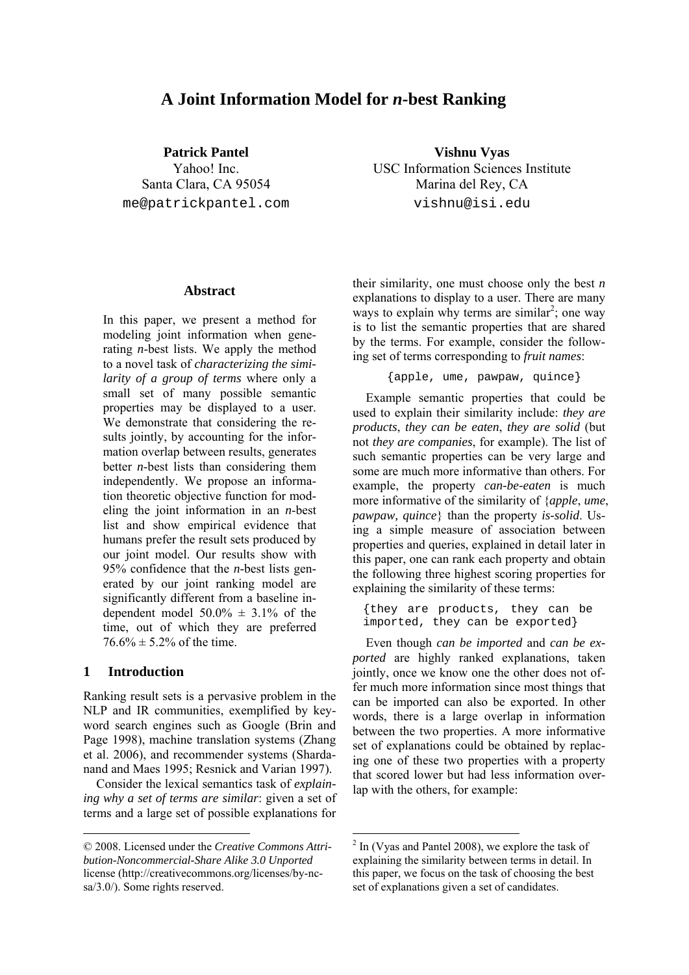# **A Joint Information Model for** *n***-best Ranking**

**Patrick Pantel** 

Yahoo! Inc. Santa Clara, CA 95054 me@patrickpantel.com

**Vishnu Vyas**  USC Information Sciences Institute Marina del Rey, CA vishnu@isi.edu

# **Abstract**

In this paper, we present a method for modeling joint information when generating *n*-best lists. We apply the method to a novel task of *characterizing the similarity of a group of terms* where only a small set of many possible semantic properties may be displayed to a user. We demonstrate that considering the results jointly, by accounting for the information overlap between results, generates better *n*-best lists than considering them independently. We propose an information theoretic objective function for modeling the joint information in an *n*-best list and show empirical evidence that humans prefer the result sets produced by our joint model. Our results show with 95% confidence that the *n*-best lists generated by our joint ranking model are significantly different from a baseline independent model  $50.0\% \pm 3.1\%$  of the time, out of which they are preferred  $76.6\% \pm 5.2\%$  of the time.

# **1 Introduction**

Ranking result sets is a pervasive problem in the NLP and IR communities, exemplified by keyword search engines such as Google (Brin and Page 1998), machine translation systems (Zhang et al. 2006), and recommender systems (Shardanand and Maes 1995; Resnick and Varian 1997).

Consider the lexical semantics task of *explaining why a set of terms are similar*: given a set of terms and a large set of possible explanations for their similarity, one must choose only the best *n* explanations to display to a user. There are many ways to explain why terms are similar<sup>2</sup>; one way is to list the semantic properties that are shared by the terms. For example, consider the following set of terms corresponding to *fruit names*:

```
 {apple, ume, pawpaw, quince}
```
Example semantic properties that could be used to explain their similarity include: *they are products*, *they can be eaten*, *they are solid* (but not *they are companies*, for example). The list of such semantic properties can be very large and some are much more informative than others. For example, the property *can-be-eaten* is much more informative of the similarity of {*apple*, *ume*, *pawpaw, quince*} than the property *is-solid*. Using a simple measure of association between properties and queries, explained in detail later in this paper, one can rank each property and obtain the following three highest scoring properties for explaining the similarity of these terms:

{they are products, they can be imported, they can be exported}

Even though *can be imported* and *can be exported* are highly ranked explanations, taken jointly, once we know one the other does not offer much more information since most things that can be imported can also be exported. In other words, there is a large overlap in information between the two properties. A more informative set of explanations could be obtained by replacing one of these two properties with a property that scored lower but had less information overlap with the others, for example:

<sup>© 2008.</sup> Licensed under the *Creative Commons Attribution-Noncommercial-Share Alike 3.0 Unported* license (http://creativecommons.org/licenses/by-ncsa/3.0/). Some rights reserved.

 $2 \ln$  (Vyas and Pantel 2008), we explore the task of explaining the similarity between terms in detail. In this paper, we focus on the task of choosing the best set of explanations given a set of candidates.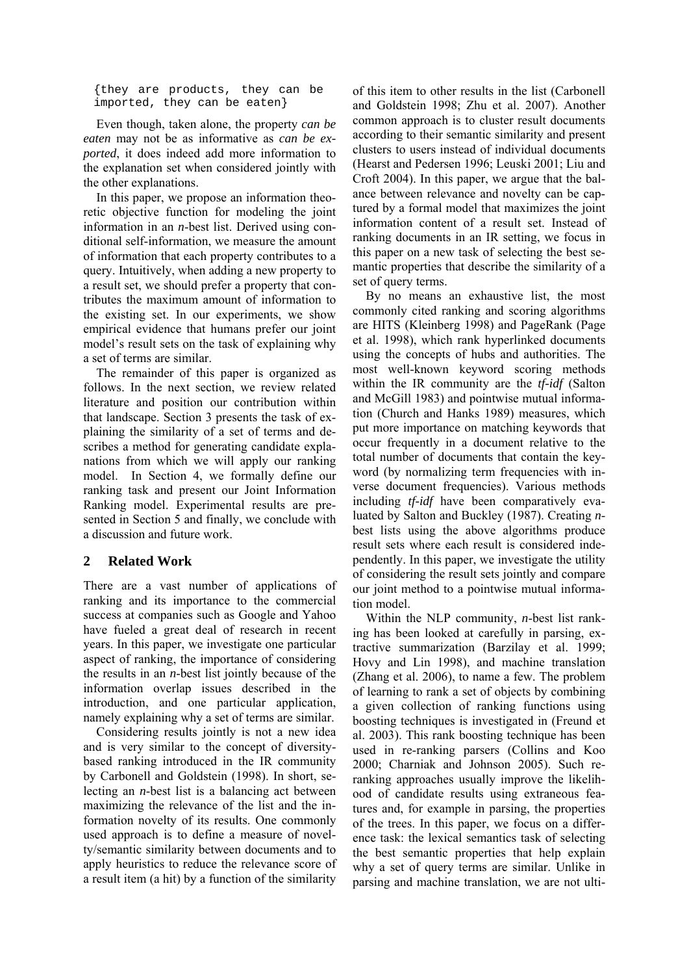{they are products, they can be imported, they can be eaten}

Even though, taken alone, the property *can be eaten* may not be as informative as *can be exported*, it does indeed add more information to the explanation set when considered jointly with the other explanations.

In this paper, we propose an information theoretic objective function for modeling the joint information in an *n*-best list. Derived using conditional self-information, we measure the amount of information that each property contributes to a query. Intuitively, when adding a new property to a result set, we should prefer a property that contributes the maximum amount of information to the existing set. In our experiments, we show empirical evidence that humans prefer our joint model's result sets on the task of explaining why a set of terms are similar.

The remainder of this paper is organized as follows. In the next section, we review related literature and position our contribution within that landscape. Section 3 presents the task of explaining the similarity of a set of terms and describes a method for generating candidate explanations from which we will apply our ranking model. In Section 4, we formally define our ranking task and present our Joint Information Ranking model. Experimental results are presented in Section 5 and finally, we conclude with a discussion and future work.

# **2 Related Work**

There are a vast number of applications of ranking and its importance to the commercial success at companies such as Google and Yahoo have fueled a great deal of research in recent years. In this paper, we investigate one particular aspect of ranking, the importance of considering the results in an *n*-best list jointly because of the information overlap issues described in the introduction, and one particular application, namely explaining why a set of terms are similar.

Considering results jointly is not a new idea and is very similar to the concept of diversitybased ranking introduced in the IR community by Carbonell and Goldstein (1998). In short, selecting an *n*-best list is a balancing act between maximizing the relevance of the list and the information novelty of its results. One commonly used approach is to define a measure of novelty/semantic similarity between documents and to apply heuristics to reduce the relevance score of a result item (a hit) by a function of the similarity of this item to other results in the list (Carbonell and Goldstein 1998; Zhu et al. 2007). Another common approach is to cluster result documents according to their semantic similarity and present clusters to users instead of individual documents (Hearst and Pedersen 1996; Leuski 2001; Liu and Croft 2004). In this paper, we argue that the balance between relevance and novelty can be captured by a formal model that maximizes the joint information content of a result set. Instead of ranking documents in an IR setting, we focus in this paper on a new task of selecting the best semantic properties that describe the similarity of a set of query terms.

By no means an exhaustive list, the most commonly cited ranking and scoring algorithms are HITS (Kleinberg 1998) and PageRank (Page et al. 1998), which rank hyperlinked documents using the concepts of hubs and authorities. The most well-known keyword scoring methods within the IR community are the *tf-idf* (Salton and McGill 1983) and pointwise mutual information (Church and Hanks 1989) measures, which put more importance on matching keywords that occur frequently in a document relative to the total number of documents that contain the keyword (by normalizing term frequencies with inverse document frequencies). Various methods including *tf-idf* have been comparatively evaluated by Salton and Buckley (1987). Creating *n*best lists using the above algorithms produce result sets where each result is considered independently. In this paper, we investigate the utility of considering the result sets jointly and compare our joint method to a pointwise mutual information model.

Within the NLP community, *n*-best list ranking has been looked at carefully in parsing, extractive summarization (Barzilay et al. 1999; Hovy and Lin 1998), and machine translation (Zhang et al. 2006), to name a few. The problem of learning to rank a set of objects by combining a given collection of ranking functions using boosting techniques is investigated in (Freund et al. 2003). This rank boosting technique has been used in re-ranking parsers (Collins and Koo 2000; Charniak and Johnson 2005). Such reranking approaches usually improve the likelihood of candidate results using extraneous features and, for example in parsing, the properties of the trees. In this paper, we focus on a difference task: the lexical semantics task of selecting the best semantic properties that help explain why a set of query terms are similar. Unlike in parsing and machine translation, we are not ulti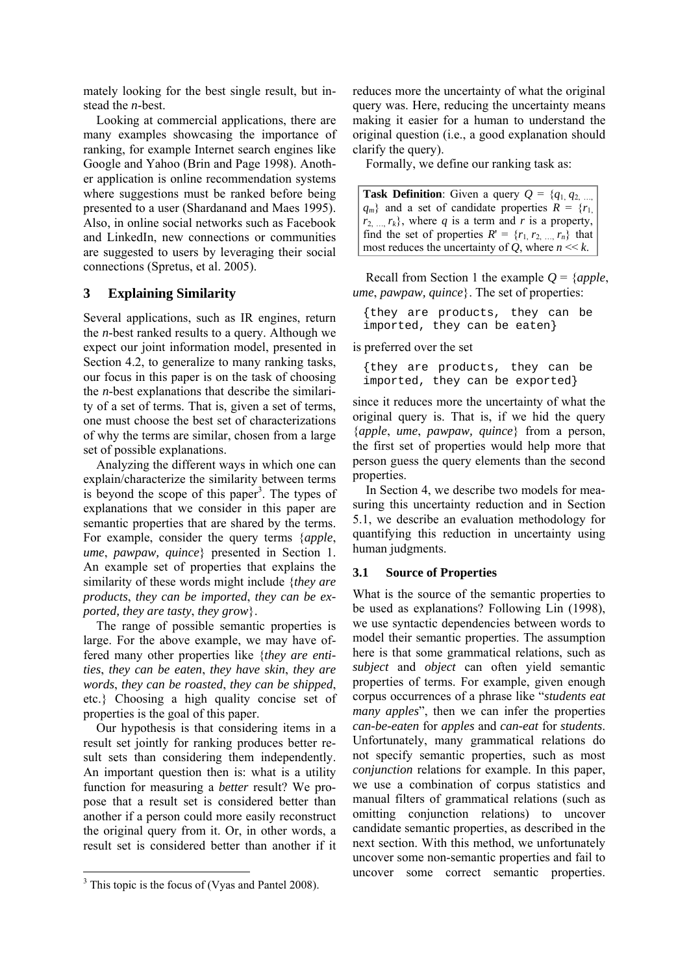mately looking for the best single result, but instead the *n*-best.

Looking at commercial applications, there are many examples showcasing the importance of ranking, for example Internet search engines like Google and Yahoo (Brin and Page 1998). Another application is online recommendation systems where suggestions must be ranked before being presented to a user (Shardanand and Maes 1995). Also, in online social networks such as Facebook and LinkedIn, new connections or communities are suggested to users by leveraging their social connections (Spretus, et al. 2005).

# **3 Explaining Similarity**

Several applications, such as IR engines, return the *n*-best ranked results to a query. Although we expect our joint information model, presented in Section 4.2, to generalize to many ranking tasks, our focus in this paper is on the task of choosing the *n*-best explanations that describe the similarity of a set of terms. That is, given a set of terms, one must choose the best set of characterizations of why the terms are similar, chosen from a large set of possible explanations.

Analyzing the different ways in which one can explain/characterize the similarity between terms is beyond the scope of this paper<sup>3</sup>. The types of explanations that we consider in this paper are semantic properties that are shared by the terms. For example, consider the query terms {*apple*, *ume*, *pawpaw, quince*} presented in Section 1. An example set of properties that explains the similarity of these words might include {*they are products*, *they can be imported*, *they can be exported, they are tasty*, *they grow*}.

The range of possible semantic properties is large. For the above example, we may have offered many other properties like {*they are entities*, *they can be eaten*, *they have skin*, *they are words*, *they can be roasted*, *they can be shipped*, etc.} Choosing a high quality concise set of properties is the goal of this paper.

Our hypothesis is that considering items in a result set jointly for ranking produces better result sets than considering them independently. An important question then is: what is a utility function for measuring a *better* result? We propose that a result set is considered better than another if a person could more easily reconstruct the original query from it. Or, in other words, a result set is considered better than another if it

reduces more the uncertainty of what the original query was. Here, reducing the uncertainty means making it easier for a human to understand the original question (i.e., a good explanation should clarify the query).

Formally, we define our ranking task as:

**Task Definition**: Given a query  $Q = \{q_1, q_2\}$  $q_m$ } and a set of candidate properties  $R = \{r_1, r_2, \ldots, r_n\}$  $r_2$ ,  $r_k$ , where *q* is a term and *r* is a property, find the set of properties  $R' = \{r_1, r_2, ..., r_n\}$  that most reduces the uncertainty of  $Q$ , where  $n \ll k$ .

Recall from Section 1 the example *Q* = {*apple*, *ume*, *pawpaw, quince*}. The set of properties:

{they are products, they can be imported, they can be eaten}

is preferred over the set

{they are products, they can be imported, they can be exported}

since it reduces more the uncertainty of what the original query is. That is, if we hid the query {*apple*, *ume*, *pawpaw, quince*} from a person, the first set of properties would help more that person guess the query elements than the second properties.

In Section 4, we describe two models for measuring this uncertainty reduction and in Section 5.1, we describe an evaluation methodology for quantifying this reduction in uncertainty using human judgments.

# **3.1 Source of Properties**

What is the source of the semantic properties to be used as explanations? Following Lin (1998), we use syntactic dependencies between words to model their semantic properties. The assumption here is that some grammatical relations, such as *subject* and *object* can often yield semantic properties of terms. For example, given enough corpus occurrences of a phrase like "*students eat many apples*", then we can infer the properties *can-be-eaten* for *apples* and *can-eat* for *students*. Unfortunately, many grammatical relations do not specify semantic properties, such as most *conjunction* relations for example. In this paper, we use a combination of corpus statistics and manual filters of grammatical relations (such as omitting conjunction relations) to uncover candidate semantic properties, as described in the next section. With this method, we unfortunately uncover some non-semantic properties and fail to uncover some correct semantic properties.

<sup>&</sup>lt;sup>3</sup> This topic is the focus of (Vyas and Pantel 2008).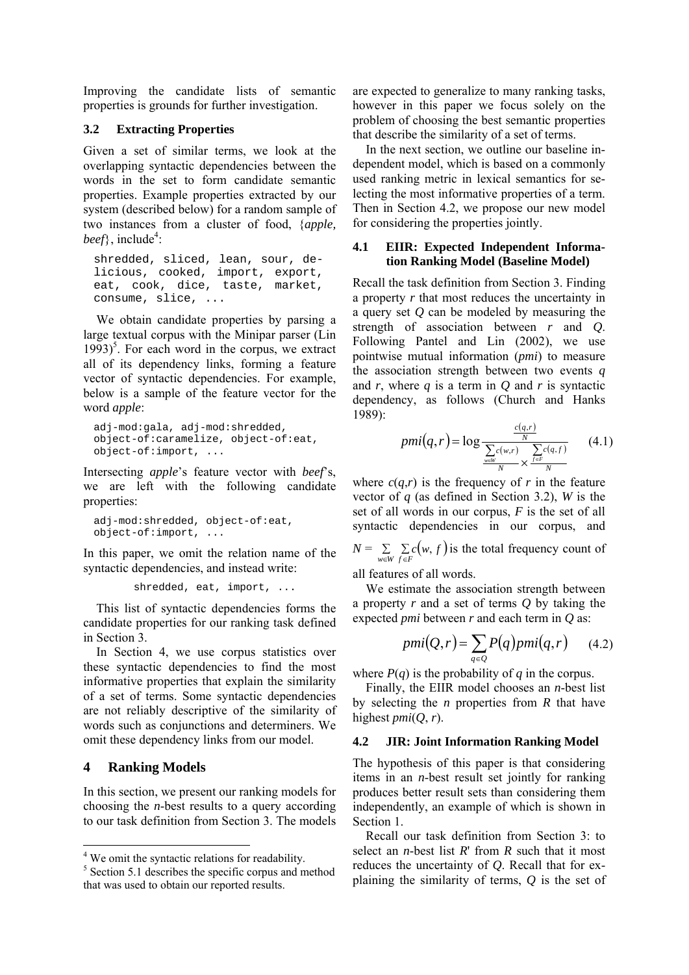Improving the candidate lists of semantic properties is grounds for further investigation.

## **3.2 Extracting Properties**

Given a set of similar terms, we look at the overlapping syntactic dependencies between the words in the set to form candidate semantic properties. Example properties extracted by our system (described below) for a random sample of two instances from a cluster of food, {*apple,*   $beef\}$ , include<sup>4</sup>:

shredded, sliced, lean, sour, delicious, cooked, import, export, eat, cook, dice, taste, market, consume, slice, ...

We obtain candidate properties by parsing a large textual corpus with the Minipar parser (Lin  $1993)$ <sup>5</sup>. For each word in the corpus, we extract all of its dependency links, forming a feature vector of syntactic dependencies. For example, below is a sample of the feature vector for the word *apple*:

```
adj-mod:gala, adj-mod:shredded, 
object-of:caramelize, object-of:eat, 
object-of:import, ...
```
Intersecting *apple*'s feature vector with *beef*'s, we are left with the following candidate properties:

adj-mod:shredded, object-of:eat, object-of:import, ...

In this paper, we omit the relation name of the syntactic dependencies, and instead write:

```
 shredded, eat, import, ...
```
This list of syntactic dependencies forms the candidate properties for our ranking task defined in Section 3.

In Section 4, we use corpus statistics over these syntactic dependencies to find the most informative properties that explain the similarity of a set of terms. Some syntactic dependencies are not reliably descriptive of the similarity of words such as conjunctions and determiners. We omit these dependency links from our model.

# **4 Ranking Models**

In this section, we present our ranking models for choosing the *n*-best results to a query according to our task definition from Section 3. The models

are expected to generalize to many ranking tasks, however in this paper we focus solely on the problem of choosing the best semantic properties that describe the similarity of a set of terms.

In the next section, we outline our baseline independent model, which is based on a commonly used ranking metric in lexical semantics for selecting the most informative properties of a term. Then in Section 4.2, we propose our new model for considering the properties jointly.

## **4.1 EIIR: Expected Independent Information Ranking Model (Baseline Model)**

Recall the task definition from Section 3. Finding a property *r* that most reduces the uncertainty in a query set *Q* can be modeled by measuring the strength of association between *r* and *Q*. Following Pantel and Lin (2002), we use pointwise mutual information (*pmi*) to measure the association strength between two events *q* and  $r$ , where  $q$  is a term in  $Q$  and  $r$  is syntactic dependency, as follows (Church and Hanks 1989):

$$
pmi(q,r) = \log \frac{\frac{c(q,r)}{N}}{\frac{\sum\limits_{w \in W} c(w,r)}{N} \times \frac{\sum\limits_{f \in F} c(q,f)}{N}} \qquad (4.1)
$$

where  $c(q,r)$  is the frequency of *r* in the feature vector of *q* (as defined in Section 3.2), *W* is the set of all words in our corpus, *F* is the set of all syntactic dependencies in our corpus, and  $N = \sum_{w \in W} \sum_{f \in F} c(w, f)$  is the total frequency count of

all features of all words.

We estimate the association strength between a property *r* and a set of terms *Q* by taking the expected *pmi* between *r* and each term in *Q* as:

$$
pmi(Q,r) = \sum_{q \in Q} P(q) pmi(q,r) \qquad (4.2)
$$

where  $P(q)$  is the probability of *q* in the corpus.

Finally, the EIIR model chooses an *n*-best list by selecting the *n* properties from *R* that have highest  $pmi(O, r)$ .

## **4.2 JIR: Joint Information Ranking Model**

The hypothesis of this paper is that considering items in an *n*-best result set jointly for ranking produces better result sets than considering them independently, an example of which is shown in Section 1.

Recall our task definition from Section 3: to select an *n*-best list *R*' from *R* such that it most reduces the uncertainty of *Q*. Recall that for explaining the similarity of terms, *Q* is the set of

<sup>&</sup>lt;sup>4</sup> We omit the syntactic relations for readability.

<sup>5</sup> Section 5.1 describes the specific corpus and method that was used to obtain our reported results.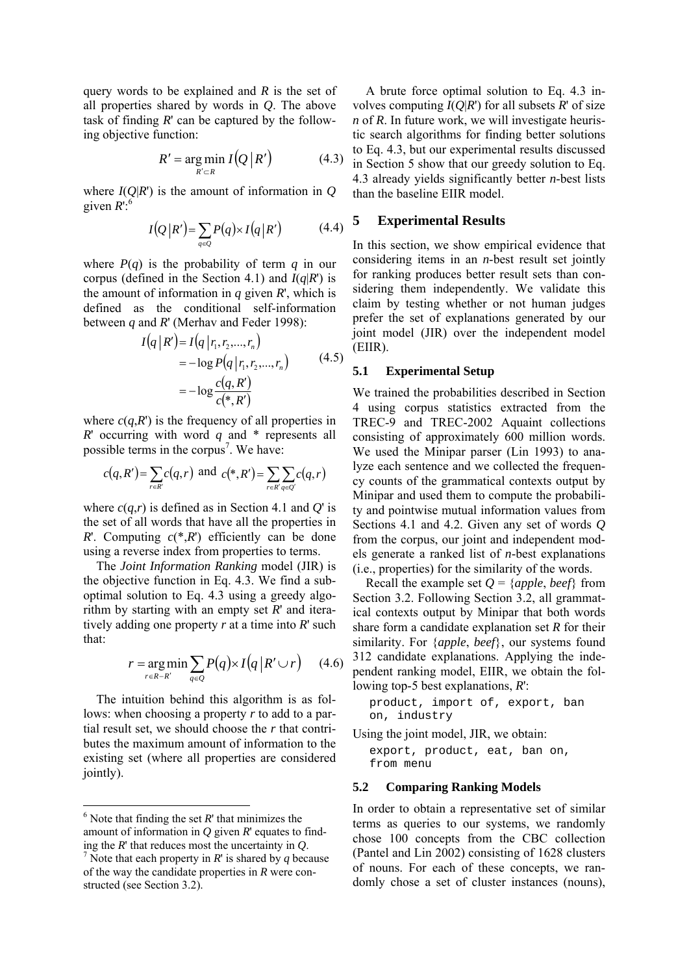query words to be explained and *R* is the set of all properties shared by words in *Q*. The above task of finding *R*' can be captured by the following objective function:

$$
R' = \underset{R' \subset R}{\arg \min} I\big(Q \,|\, R'\big) \tag{4.3}
$$

where  $I(Q|R')$  is the amount of information in *Q* given  $R$ <sup>':6</sup>

$$
I(Q|R') = \sum_{q \in Q} P(q) \times I(q|R')
$$
 (4.4)

where  $P(q)$  is the probability of term  $q$  in our corpus (defined in the Section 4.1) and  $I(q|R')$  is the amount of information in  $q$  given  $R'$ , which is defined as the conditional self-information between *q* and *R*' (Merhav and Feder 1998):

$$
I(q | R') = I(q | r_1, r_2, ..., r_n)
$$
  
= -log P(q | r\_1, r\_2, ..., r\_n) (4.5)  
= -log \frac{c(q, R')}{c(\*, R')}

where  $c(q, R')$  is the frequency of all properties in *R*' occurring with word *q* and \* represents all possible terms in the corpus<sup>7</sup>. We have:

$$
c(q, R') = \sum_{r \in R'} c(q, r) \text{ and } c(*, R') = \sum_{r \in R'} \sum_{q \in Q'} c(q, r)
$$

where  $c(q,r)$  is defined as in Section 4.1 and  $Q'$  is the set of all words that have all the properties in *R*'. Computing  $c(*,R')$  efficiently can be done using a reverse index from properties to terms.

The *Joint Information Ranking* model (JIR) is the objective function in Eq. 4.3. We find a suboptimal solution to Eq. 4.3 using a greedy algorithm by starting with an empty set *R*' and iteratively adding one property *r* at a time into *R*' such that:

$$
r = \underset{r \in R - R'}{\arg \min} \sum_{q \in Q} P(q) \times I(q \, | \, R' \cup r) \qquad (4.6)
$$

The intuition behind this algorithm is as follows: when choosing a property *r* to add to a partial result set, we should choose the *r* that contributes the maximum amount of information to the existing set (where all properties are considered jointly).

A brute force optimal solution to Eq. 4.3 involves computing  $I(Q|R')$  for all subsets  $R'$  of size *n* of *R*. In future work, we will investigate heuristic search algorithms for finding better solutions to Eq. 4.3, but our experimental results discussed in Section 5 show that our greedy solution to Eq. 4.3 already yields significantly better *n*-best lists than the baseline EIIR model.

## **5 Experimental Results**

In this section, we show empirical evidence that considering items in an *n*-best result set jointly for ranking produces better result sets than considering them independently. We validate this claim by testing whether or not human judges prefer the set of explanations generated by our joint model (JIR) over the independent model (EIIR).

## **5.1 Experimental Setup**

We trained the probabilities described in Section 4 using corpus statistics extracted from the TREC-9 and TREC-2002 Aquaint collections consisting of approximately 600 million words. We used the Minipar parser (Lin 1993) to analyze each sentence and we collected the frequency counts of the grammatical contexts output by Minipar and used them to compute the probability and pointwise mutual information values from Sections 4.1 and 4.2. Given any set of words *Q* from the corpus, our joint and independent models generate a ranked list of *n*-best explanations (i.e., properties) for the similarity of the words.

Recall the example set  $Q = \{apple, beef\}$  from Section 3.2. Following Section 3.2, all grammatical contexts output by Minipar that both words share form a candidate explanation set *R* for their similarity. For {*apple*, *beef*}, our systems found 312 candidate explanations. Applying the independent ranking model, EIIR, we obtain the following top-5 best explanations, *R*':

product, import of, export, ban on, industry

Using the joint model, JIR, we obtain:

export, product, eat, ban on, from menu

#### **5.2 Comparing Ranking Models**

In order to obtain a representative set of similar terms as queries to our systems, we randomly chose 100 concepts from the CBC collection (Pantel and Lin 2002) consisting of 1628 clusters of nouns. For each of these concepts, we randomly chose a set of cluster instances (nouns),

 $6$  Note that finding the set  $R'$  that minimizes the amount of information in *Q* given *R*' equates to finding the  $R'$  that reduces most the uncertainty in  $Q$ .

 $\sqrt[7]{\text{Note that each property in } R' \text{ is shared by } q \text{ because}}$ of the way the candidate properties in *R* were constructed (see Section 3.2).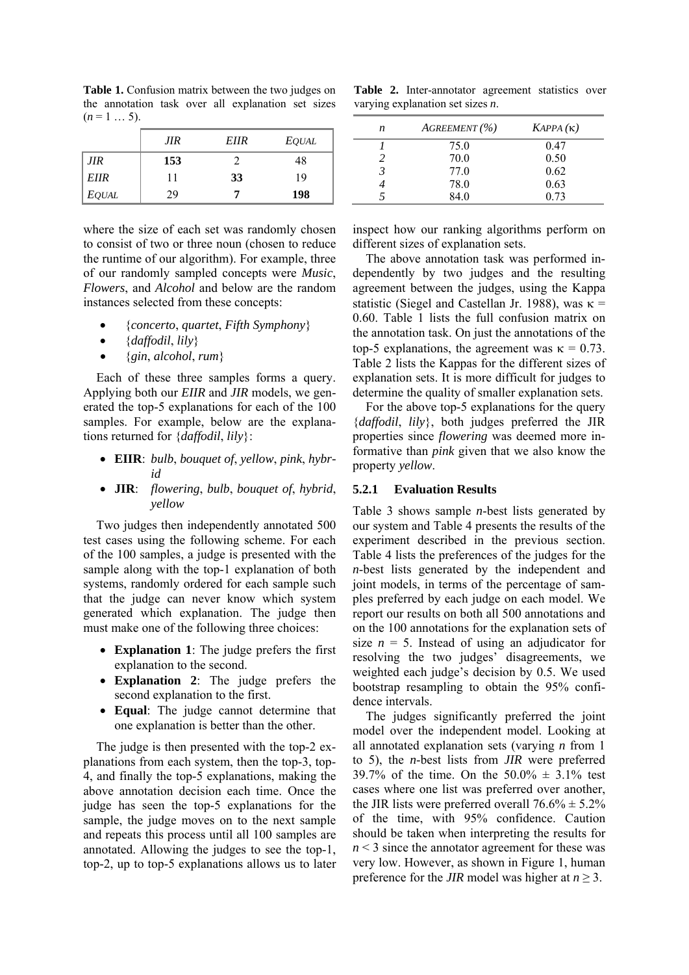**Table 1.** Confusion matrix between the two judges on the annotation task over all explanation set sizes  $(n = 1 ... 5)$ .

|              | JIR | <b>EIIR</b> | <i>EQUAL</i> |
|--------------|-----|-------------|--------------|
| JIR          | 153 |             | 48           |
| <b>EIIR</b>  | 11  | 33          | 19           |
| <b>EQUAL</b> | 29  |             | 198          |

where the size of each set was randomly chosen to consist of two or three noun (chosen to reduce the runtime of our algorithm). For example, three of our randomly sampled concepts were *Music*, *Flowers*, and *Alcohol* and below are the random instances selected from these concepts:

- {*concerto*, *quartet*, *Fifth Symphony*}
- {*daffodil*, *lily*}
- {*gin*, *alcohol*, *rum*}

Each of these three samples forms a query. Applying both our *EIIR* and *JIR* models, we generated the top-5 explanations for each of the 100 samples. For example, below are the explanations returned for {*daffodil*, *lily*}:

- **EIIR**: *bulb*, *bouquet of*, *yellow*, *pink*, *hybrid*
- **JIR**: *flowering*, *bulb*, *bouquet of*, *hybrid*, *yellow*

Two judges then independently annotated 500 test cases using the following scheme. For each of the 100 samples, a judge is presented with the sample along with the top-1 explanation of both systems, randomly ordered for each sample such that the judge can never know which system generated which explanation. The judge then must make one of the following three choices:

- **Explanation 1**: The judge prefers the first explanation to the second.
- **Explanation 2**: The judge prefers the second explanation to the first.
- **Equal**: The judge cannot determine that one explanation is better than the other.

The judge is then presented with the top-2 explanations from each system, then the top-3, top-4, and finally the top-5 explanations, making the above annotation decision each time. Once the judge has seen the top-5 explanations for the sample, the judge moves on to the next sample and repeats this process until all 100 samples are annotated. Allowing the judges to see the top-1, top-2, up to top-5 explanations allows us to later

Table 2. Inter-annotator agreement statistics over varying explanation set sizes *n*.

| n | AGREEMENT (%) | KAPPA(K) |
|---|---------------|----------|
|   | 75.0          | 0.47     |
| 2 | 70.0          | 0.50     |
| 3 | 77.0          | 0.62     |
|   | 78.0          | 0.63     |
|   | 84.0          | 0.73     |

inspect how our ranking algorithms perform on different sizes of explanation sets.

The above annotation task was performed independently by two judges and the resulting agreement between the judges, using the Kappa statistic (Siegel and Castellan Jr. 1988), was  $\kappa$  = 0.60. Table 1 lists the full confusion matrix on the annotation task. On just the annotations of the top-5 explanations, the agreement was  $\kappa = 0.73$ . Table 2 lists the Kappas for the different sizes of explanation sets. It is more difficult for judges to determine the quality of smaller explanation sets.

For the above top-5 explanations for the query {*daffodil*, *lily*}, both judges preferred the JIR properties since *flowering* was deemed more informative than *pink* given that we also know the property *yellow*.

#### **5.2.1 Evaluation Results**

Table 3 shows sample *n*-best lists generated by our system and Table 4 presents the results of the experiment described in the previous section. Table 4 lists the preferences of the judges for the *n*-best lists generated by the independent and joint models, in terms of the percentage of samples preferred by each judge on each model. We report our results on both all 500 annotations and on the 100 annotations for the explanation sets of size  $n = 5$ . Instead of using an adjudicator for resolving the two judges' disagreements, we weighted each judge's decision by 0.5. We used bootstrap resampling to obtain the 95% confidence intervals.

The judges significantly preferred the joint model over the independent model. Looking at all annotated explanation sets (varying *n* from 1 to 5), the *n*-best lists from *JIR* were preferred 39.7% of the time. On the  $50.0\% \pm 3.1\%$  test cases where one list was preferred over another, the JIR lists were preferred overall  $76.6\% \pm 5.2\%$ of the time, with 95% confidence. Caution should be taken when interpreting the results for  $n < 3$  since the annotator agreement for these was very low. However, as shown in Figure 1, human preference for the *JIR* model was higher at  $n \geq 3$ .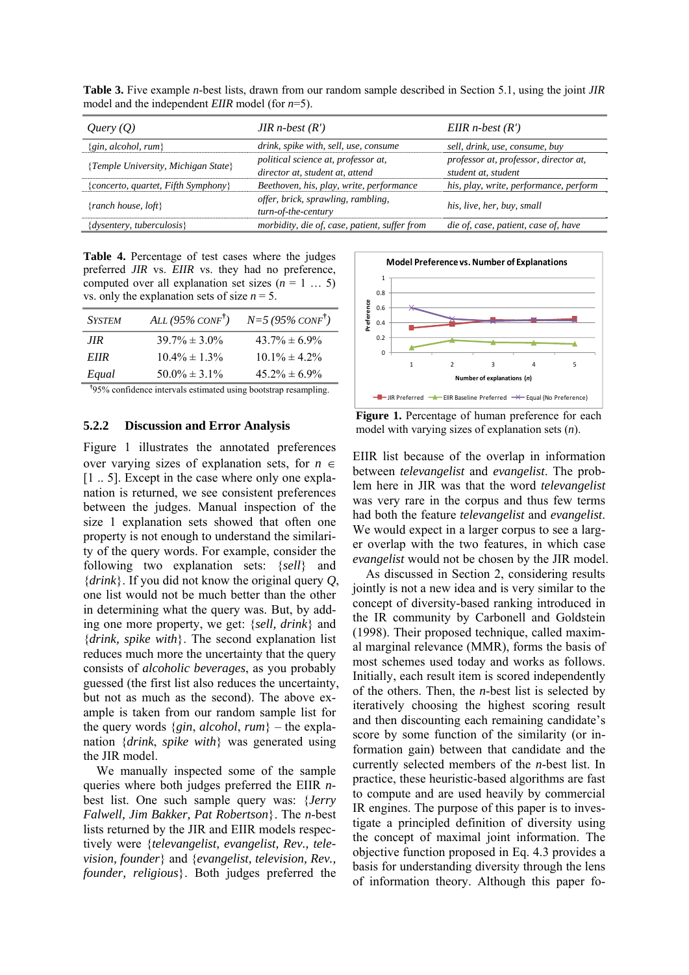| Query(O)                            | JIR n-best $(R')$                                                      | EIIR $n$ -best $(R')$                                        |
|-------------------------------------|------------------------------------------------------------------------|--------------------------------------------------------------|
| {gin, alcohol, rum}                 | drink, spike with, sell, use, consume                                  | sell, drink, use, consume, buy                               |
| {Temple University, Michigan State} | political science at, professor at,<br>director at, student at, attend | professor at, professor, director at,<br>student at, student |
| {concerto, quartet, Fifth Symphony} | Beethoven, his, play, write, performance                               | his, play, write, performance, perform                       |
| {ranch house, $loft$ }              | offer, brick, sprawling, rambling,<br>turn-of-the-century              | his, live, her, buy, small                                   |
| $\{dysentery, tuberculosis\}$       | morbidity, die of, case, patient, suffer from                          | die of, case, patient, case of, have                         |

**Table 3.** Five example *n*-best lists, drawn from our random sample described in Section 5.1, using the joint *JIR* model and the independent *EIIR* model (for *n*=5).

**Table 4.** Percentage of test cases where the judges preferred *JIR* vs. *EIIR* vs. they had no preference, computed over all explanation set sizes  $(n = 1 ... 5)$ vs. only the explanation sets of size  $n = 5$ .

| <b>SYSTEM</b> | ALL $(95\%$ CONF <sup>†</sup> ) | $N=5 (95\%$ CONF <sup>†</sup> ) |
|---------------|---------------------------------|---------------------------------|
| JIR           | $39.7\% \pm 3.0\%$              | $43.7\% \pm 6.9\%$              |
| <b>EIIR</b>   | $10.4\% \pm 1.3\%$              | $10.1\% \pm 4.2\%$              |
| Equal         | $50.0\% \pm 3.1\%$              | $45.2\% \pm 6.9\%$              |

**†** 95% confidence intervals estimated using bootstrap resampling.

#### **5.2.2 Discussion and Error Analysis**

Figure 1 illustrates the annotated preferences over varying sizes of explanation sets, for *n* ∈ [1 .. 5]. Except in the case where only one explanation is returned, we see consistent preferences between the judges. Manual inspection of the size 1 explanation sets showed that often one property is not enough to understand the similarity of the query words. For example, consider the following two explanation sets: {*sell*} and {*drink*}. If you did not know the original query *Q*, one list would not be much better than the other in determining what the query was. But, by adding one more property, we get: {*sell, drink*} and {*drink, spike with*}. The second explanation list reduces much more the uncertainty that the query consists of *alcoholic beverages*, as you probably guessed (the first list also reduces the uncertainty, but not as much as the second). The above example is taken from our random sample list for the query words  $\{gin, alcohol, rum\}$  – the explanation {*drink*, *spike with*} was generated using the JIR model.

We manually inspected some of the sample queries where both judges preferred the EIIR *n*best list. One such sample query was: {*Jerry Falwell, Jim Bakker, Pat Robertson*}. The *n*-best lists returned by the JIR and EIIR models respectively were {*televangelist, evangelist, Rev., television, founder*} and {*evangelist, television, Rev., founder, religious*}. Both judges preferred the



**Figure 1.** Percentage of human preference for each model with varying sizes of explanation sets (*n*).

EIIR list because of the overlap in information between *televangelist* and *evangelist*. The problem here in JIR was that the word *televangelist* was very rare in the corpus and thus few terms had both the feature *televangelist* and *evangelist*. We would expect in a larger corpus to see a larger overlap with the two features, in which case *evangelist* would not be chosen by the JIR model.

As discussed in Section 2, considering results jointly is not a new idea and is very similar to the concept of diversity-based ranking introduced in the IR community by Carbonell and Goldstein (1998). Their proposed technique, called maximal marginal relevance (MMR), forms the basis of most schemes used today and works as follows. Initially, each result item is scored independently of the others. Then, the *n*-best list is selected by iteratively choosing the highest scoring result and then discounting each remaining candidate's score by some function of the similarity (or information gain) between that candidate and the currently selected members of the *n*-best list. In practice, these heuristic-based algorithms are fast to compute and are used heavily by commercial IR engines. The purpose of this paper is to investigate a principled definition of diversity using the concept of maximal joint information. The objective function proposed in Eq. 4.3 provides a basis for understanding diversity through the lens of information theory. Although this paper fo